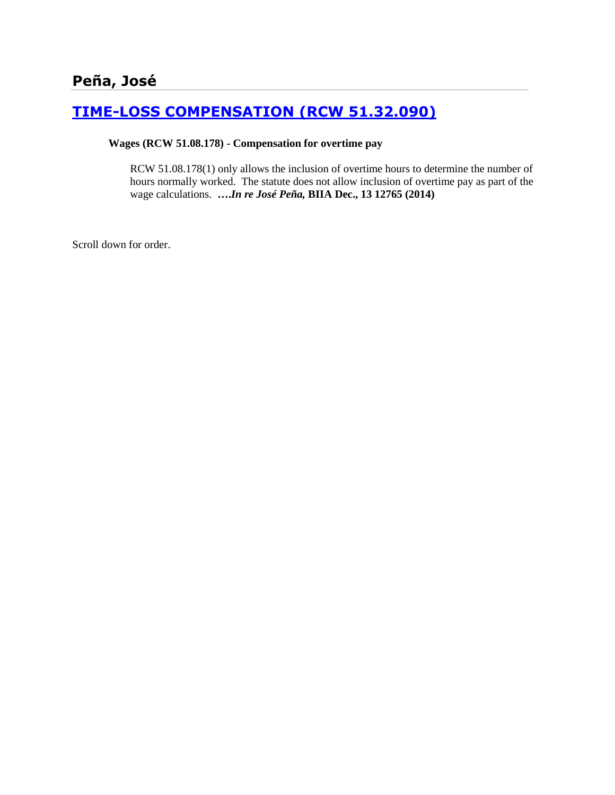# **[TIME-LOSS COMPENSATION \(RCW 51.32.090\)](http://www.biia.wa.gov/SDSubjectIndex.html#TIME_LOSS_COMPENSATION)**

#### **Wages (RCW 51.08.178) - Compensation for overtime pay**

RCW 51.08.178(1) only allows the inclusion of overtime hours to determine the number of hours normally worked. The statute does not allow inclusion of overtime pay as part of the wage calculations. **….***In re José Peña,* **BIIA Dec., 13 12765 (2014)**

Scroll down for order.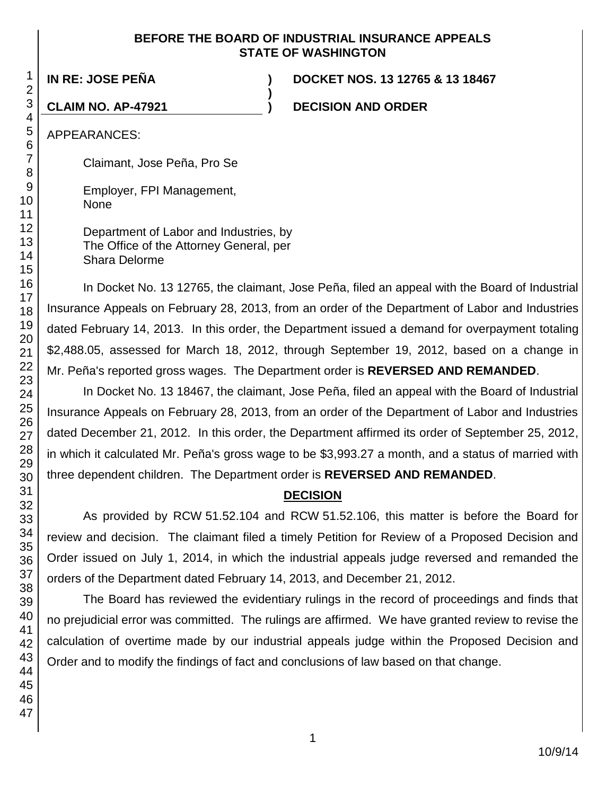### **BEFORE THE BOARD OF INDUSTRIAL INSURANCE APPEALS STATE OF WASHINGTON**

**)**

**IN RE: JOSE PEÑA ) DOCKET NOS. 13 12765 & 13 18467**

**CLAIM NO. AP-47921 ) DECISION AND ORDER**

APPEARANCES:

Claimant, Jose Peña, Pro Se

Employer, FPI Management, None

Department of Labor and Industries, by The Office of the Attorney General, per Shara Delorme

In Docket No. 13 12765, the claimant, Jose Peña, filed an appeal with the Board of Industrial Insurance Appeals on February 28, 2013, from an order of the Department of Labor and Industries dated February 14, 2013. In this order, the Department issued a demand for overpayment totaling \$2,488.05, assessed for March 18, 2012, through September 19, 2012, based on a change in Mr. Peña's reported gross wages. The Department order is **REVERSED AND REMANDED**.

In Docket No. 13 18467, the claimant, Jose Peña, filed an appeal with the Board of Industrial Insurance Appeals on February 28, 2013, from an order of the Department of Labor and Industries dated December 21, 2012. In this order, the Department affirmed its order of September 25, 2012, in which it calculated Mr. Peña's gross wage to be \$3,993.27 a month, and a status of married with three dependent children. The Department order is **REVERSED AND REMANDED**.

## **DECISION**

As provided by RCW 51.52.104 and RCW 51.52.106, this matter is before the Board for review and decision. The claimant filed a timely Petition for Review of a Proposed Decision and Order issued on July 1, 2014, in which the industrial appeals judge reversed and remanded the orders of the Department dated February 14, 2013, and December 21, 2012.

The Board has reviewed the evidentiary rulings in the record of proceedings and finds that no prejudicial error was committed. The rulings are affirmed. We have granted review to revise the calculation of overtime made by our industrial appeals judge within the Proposed Decision and Order and to modify the findings of fact and conclusions of law based on that change.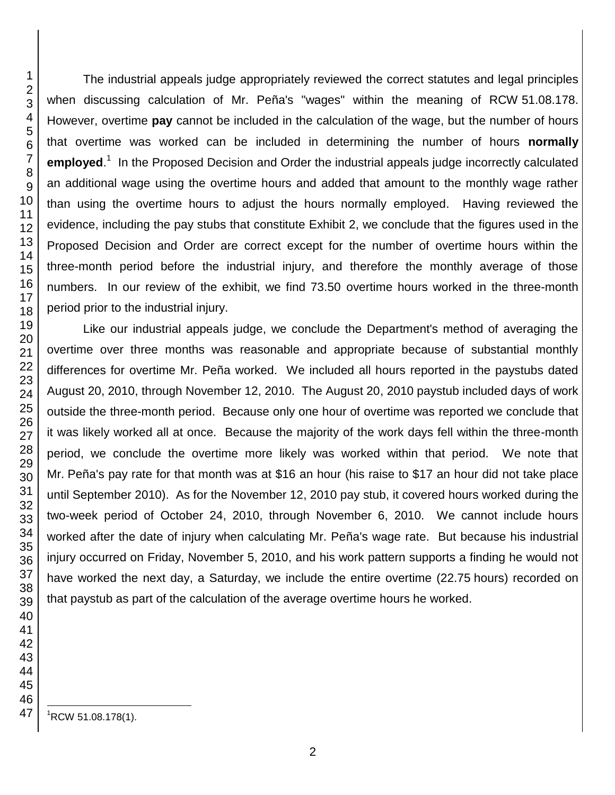The industrial appeals judge appropriately reviewed the correct statutes and legal principles when discussing calculation of Mr. Peña's "wages" within the meaning of RCW 51.08.178. However, overtime **pay** cannot be included in the calculation of the wage, but the number of hours that overtime was worked can be included in determining the number of hours **normally**  employed.<sup>1</sup> In the Proposed Decision and Order the industrial appeals judge incorrectly calculated an additional wage using the overtime hours and added that amount to the monthly wage rather than using the overtime hours to adjust the hours normally employed. Having reviewed the evidence, including the pay stubs that constitute Exhibit 2, we conclude that the figures used in the Proposed Decision and Order are correct except for the number of overtime hours within the three-month period before the industrial injury, and therefore the monthly average of those numbers. In our review of the exhibit, we find 73.50 overtime hours worked in the three-month period prior to the industrial injury.

Like our industrial appeals judge, we conclude the Department's method of averaging the overtime over three months was reasonable and appropriate because of substantial monthly differences for overtime Mr. Peña worked. We included all hours reported in the paystubs dated August 20, 2010, through November 12, 2010. The August 20, 2010 paystub included days of work outside the three-month period. Because only one hour of overtime was reported we conclude that it was likely worked all at once. Because the majority of the work days fell within the three-month period, we conclude the overtime more likely was worked within that period. We note that Mr. Peña's pay rate for that month was at \$16 an hour (his raise to \$17 an hour did not take place until September 2010). As for the November 12, 2010 pay stub, it covered hours worked during the two-week period of October 24, 2010, through November 6, 2010. We cannot include hours worked after the date of injury when calculating Mr. Peña's wage rate. But because his industrial injury occurred on Friday, November 5, 2010, and his work pattern supports a finding he would not have worked the next day, a Saturday, we include the entire overtime (22.75 hours) recorded on that paystub as part of the calculation of the average overtime hours he worked.

 ${}^{1}$ RCW 51.08.178(1).

l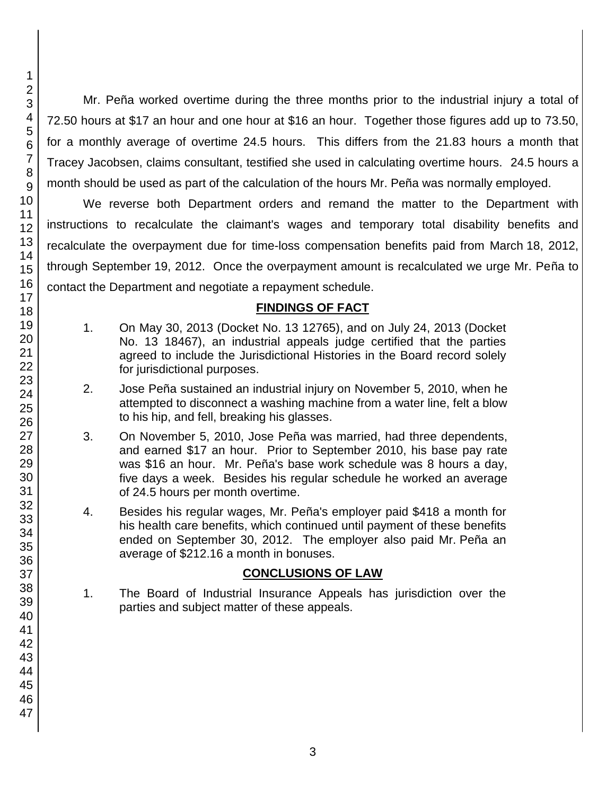Mr. Peña worked overtime during the three months prior to the industrial injury a total of 72.50 hours at \$17 an hour and one hour at \$16 an hour. Together those figures add up to 73.50, for a monthly average of overtime 24.5 hours. This differs from the 21.83 hours a month that Tracey Jacobsen, claims consultant, testified she used in calculating overtime hours. 24.5 hours a month should be used as part of the calculation of the hours Mr. Peña was normally employed.

We reverse both Department orders and remand the matter to the Department with instructions to recalculate the claimant's wages and temporary total disability benefits and recalculate the overpayment due for time-loss compensation benefits paid from March 18, 2012, through September 19, 2012. Once the overpayment amount is recalculated we urge Mr. Peña to contact the Department and negotiate a repayment schedule.

## **FINDINGS OF FACT**

- 1. On May 30, 2013 (Docket No. 13 12765), and on July 24, 2013 (Docket No. 13 18467), an industrial appeals judge certified that the parties agreed to include the Jurisdictional Histories in the Board record solely for jurisdictional purposes.
- 2. Jose Peña sustained an industrial injury on November 5, 2010, when he attempted to disconnect a washing machine from a water line, felt a blow to his hip, and fell, breaking his glasses.
- 3. On November 5, 2010, Jose Peña was married, had three dependents, and earned \$17 an hour. Prior to September 2010, his base pay rate was \$16 an hour. Mr. Peña's base work schedule was 8 hours a day, five days a week. Besides his regular schedule he worked an average of 24.5 hours per month overtime.
- 4. Besides his regular wages, Mr. Peña's employer paid \$418 a month for his health care benefits, which continued until payment of these benefits ended on September 30, 2012. The employer also paid Mr. Peña an average of \$212.16 a month in bonuses.

## **CONCLUSIONS OF LAW**

1. The Board of Industrial Insurance Appeals has jurisdiction over the parties and subject matter of these appeals.